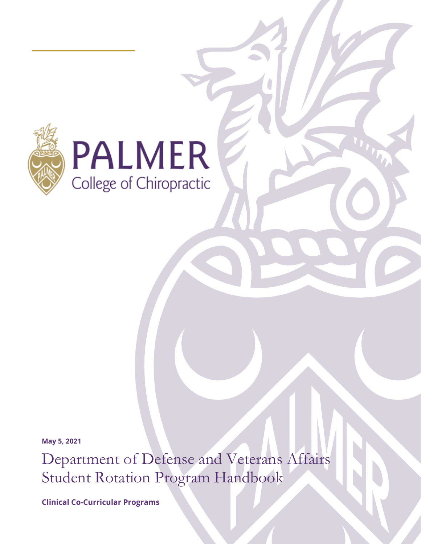



**May 5, 2021**

Department of Defense and Veterans Affairs Student Rotation Program Handbook

**Clinical Co-Curricular Programs**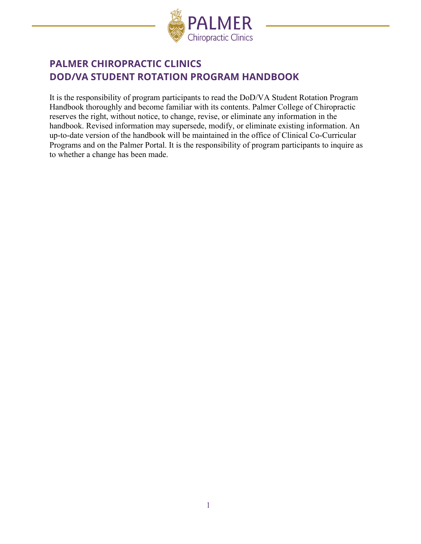

# **PALMER CHIROPRACTIC CLINICS DOD/VA STUDENT ROTATION PROGRAM HANDBOOK**

It is the responsibility of program participants to read the DoD/VA Student Rotation Program Handbook thoroughly and become familiar with its contents. Palmer College of Chiropractic reserves the right, without notice, to change, revise, or eliminate any information in the handbook. Revised information may supersede, modify, or eliminate existing information. An up-to-date version of the handbook will be maintained in the office of Clinical Co-Curricular Programs and on the Palmer Portal. It is the responsibility of program participants to inquire as to whether a change has been made.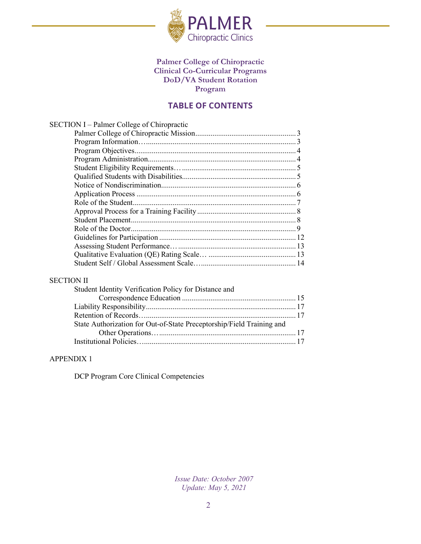

### **Palmer College of Chiropractic Clinical Co-Curricular Programs DoD/VA Student Rotation Program**

### **TABLE OF CONTENTS**

| SECTION I – Palmer College of Chiropractic |  |
|--------------------------------------------|--|
|                                            |  |
|                                            |  |
|                                            |  |
|                                            |  |
|                                            |  |
|                                            |  |
|                                            |  |
|                                            |  |
|                                            |  |
|                                            |  |
|                                            |  |
|                                            |  |
|                                            |  |
|                                            |  |
|                                            |  |
|                                            |  |
| <b>CECTION II</b>                          |  |

#### [SECTION II](#page-15-0)

| Student Identity Verification Policy for Distance and                 |  |
|-----------------------------------------------------------------------|--|
|                                                                       |  |
|                                                                       |  |
|                                                                       |  |
| State Authorization for Out-of-State Preceptorship/Field Training and |  |
|                                                                       |  |
|                                                                       |  |

#### [APPENDIX](#page-15-0) 1

DCP Program Core Clinical Competencies

*Issue Date: October 2007 Update: May 5, 2021*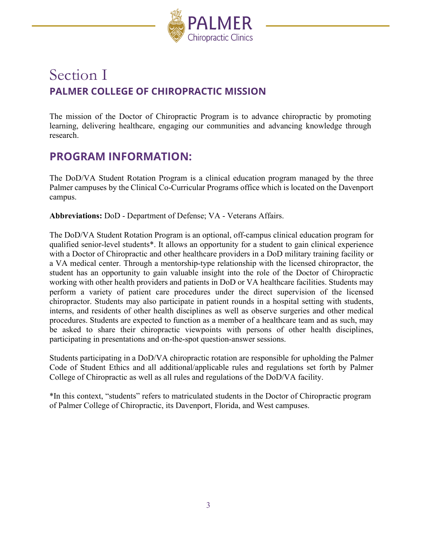

# Section I **PALMER COLLEGE OF CHIROPRACTIC MISSION**

The mission of the Doctor of Chiropractic Program is to advance chiropractic by promoting learning, delivering healthcare, engaging our communities and advancing knowledge through research.

## <span id="page-3-0"></span>**PROGRAM INFORMATION:**

The DoD/VA Student Rotation Program is a clinical education program managed by the three Palmer campuses by the Clinical Co-Curricular Programs office which is located on the Davenport campus.

**Abbreviations:** DoD - Department of Defense; VA - Veterans Affairs.

The DoD/VA Student Rotation Program is an optional, off-campus clinical education program for qualified senior-level students\*. It allows an opportunity for a student to gain clinical experience with a Doctor of Chiropractic and other healthcare providers in a DoD military training facility or a VA medical center. Through a mentorship-type relationship with the licensed chiropractor, the student has an opportunity to gain valuable insight into the role of the Doctor of Chiropractic working with other health providers and patients in DoD or VA healthcare facilities. Students may perform a variety of patient care procedures under the direct supervision of the licensed chiropractor. Students may also participate in patient rounds in a hospital setting with students, interns, and residents of other health disciplines as well as observe surgeries and other medical procedures. Students are expected to function as a member of a healthcare team and as such, may be asked to share their chiropractic viewpoints with persons of other health disciplines, participating in presentations and on-the-spot question-answer sessions.

Students participating in a DoD/VA chiropractic rotation are responsible for upholding the Palmer Code of Student Ethics and all additional/applicable rules and regulations set forth by Palmer College of Chiropractic as well as all rules and regulations of the DoD/VA facility.

\*In this context, "students" refers to matriculated students in the Doctor of Chiropractic program of Palmer College of Chiropractic, its Davenport, Florida, and West campuses.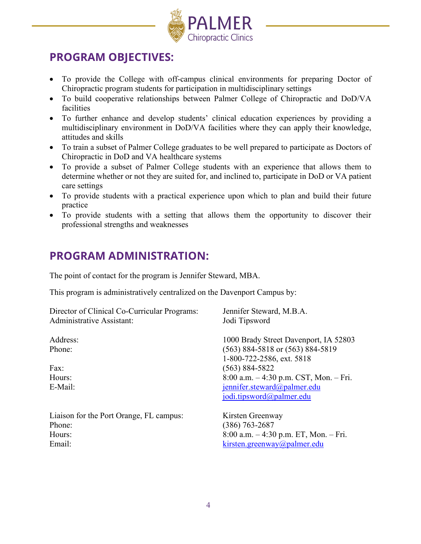

# <span id="page-4-0"></span>**PROGRAM OBJECTIVES:**

- To provide the College with off-campus clinical environments for preparing Doctor of Chiropractic program students for participation in multidisciplinary settings
- To build cooperative relationships between Palmer College of Chiropractic and DoD/VA facilities
- To further enhance and develop students' clinical education experiences by providing a multidisciplinary environment in DoD/VA facilities where they can apply their knowledge, attitudes and skills
- To train a subset of Palmer College graduates to be well prepared to participate as Doctors of Chiropractic in DoD and VA healthcare systems
- To provide a subset of Palmer College students with an experience that allows them to determine whether or not they are suited for, and inclined to, participate in DoD or VA patient care settings
- To provide students with a practical experience upon which to plan and build their future practice
- To provide students with a setting that allows them the opportunity to discover their professional strengths and weaknesses

# <span id="page-4-1"></span>**PROGRAM ADMINISTRATION:**

The point of contact for the program is Jennifer Steward, MBA.

This program is administratively centralized on the Davenport Campus by:

| Director of Clinical Co-Curricular Programs:    | Jennifer Steward, M.B.A.                                                                                                                                                                                                                   |  |  |
|-------------------------------------------------|--------------------------------------------------------------------------------------------------------------------------------------------------------------------------------------------------------------------------------------------|--|--|
| Administrative Assistant:                       | Jodi Tipsword                                                                                                                                                                                                                              |  |  |
| Address:<br>Phone:<br>Fax:<br>Hours:<br>E-Mail: | 1000 Brady Street Davenport, IA 52803<br>$(563)$ 884-5818 or $(563)$ 884-5819<br>1-800-722-2586, ext. 5818<br>$(563) 884 - 5822$<br>$8:00$ a.m. $-4:30$ p.m. CST, Mon. $-$ Fri.<br>jennifer.steward@palmer.edu<br>jodi.tipsword@palmer.edu |  |  |
| Liaison for the Port Orange, FL campus:         | Kirsten Greenway                                                                                                                                                                                                                           |  |  |
| Phone:                                          | $(386)$ 763-2687                                                                                                                                                                                                                           |  |  |
| Hours:                                          | $8:00$ a.m. $-4:30$ p.m. ET, Mon. $-$ Fri.                                                                                                                                                                                                 |  |  |
| Email:                                          | kirsten.greenway@palmer.edu                                                                                                                                                                                                                |  |  |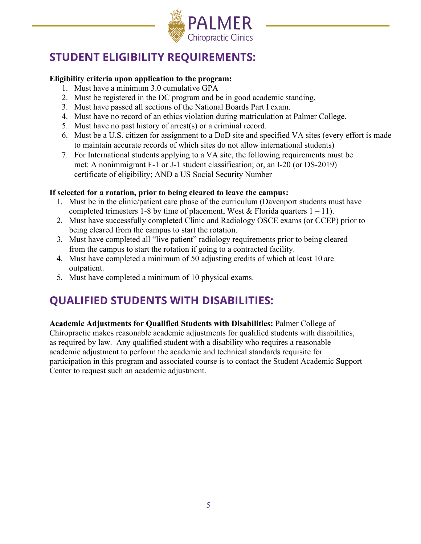

# <span id="page-5-0"></span>**STUDENT ELIGIBILITY REQUIREMENTS:**

### **Eligibility criteria upon application to the program:**

- 1. Must have a minimum 3.0 cumulative GPA
- 2. Must be registered in the DC program and be in good academic standing.
- 3. Must have passed all sections of the National Boards Part I exam.
- 4. Must have no record of an ethics violation during matriculation at Palmer College.
- 5. Must have no past history of arrest(s) or a criminal record.
- 6. Must be a U.S. citizen for assignment to a DoD site and specified VA sites (every effort is made to maintain accurate records of which sites do not allow international students)
- 7. For International students applying to a VA site, the following requirements must be met: A nonimmigrant F-1 or J-1 student classification; or, an I-20 (or DS-2019) certificate of eligibility; AND a US Social Security Number

### **If selected for a rotation, prior to being cleared to leave the campus:**

- 1. Must be in the clinic/patient care phase of the curriculum (Davenport students must have completed trimesters 1-8 by time of placement, West & Florida quarters  $1 - 11$ ).
- 2. Must have successfully completed Clinic and Radiology OSCE exams (or CCEP) prior to being cleared from the campus to start the rotation.
- 3. Must have completed all "live patient" radiology requirements prior to being cleared from the campus to start the rotation if going to a contracted facility.
- 4. Must have completed a minimum of 50 adjusting credits of which at least 10 are outpatient.
- 5. Must have completed a minimum of 10 physical exams.

# <span id="page-5-1"></span>**QUALIFIED STUDENTS WITH DISABILITIES:**

**Academic Adjustments for Qualified Students with Disabilities:** Palmer College of Chiropractic makes reasonable academic adjustments for qualified students with disabilities, as required by law. Any qualified student with a disability who requires a reasonable academic adjustment to perform the academic and technical standards requisite for participation in this program and associated course is to contact the Student Academic Support Center to request such an academic adjustment.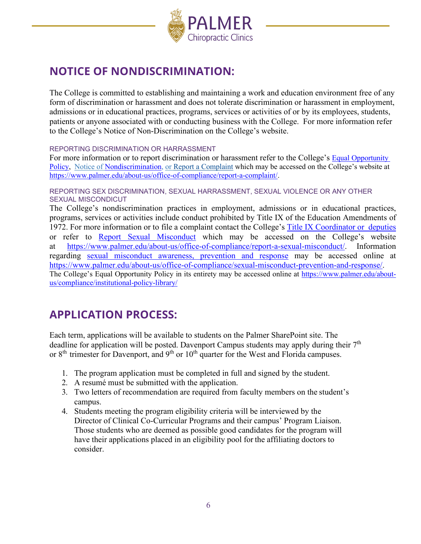

# **NOTICE OF NONDISCRIMINATION:**

The College is committed to establishing and maintaining a work and education environment free of any form of discrimination or harassment and does not tolerate discrimination or harassment in employment, admissions or in educational practices, programs, services or activities of or by its employees, students, patients or anyone associated with or conducting business with the College. For more information refer to the College's Notice of Non-Discrimination on the College's website.

REPORTING DISCRIMINATION OR HARRASSMENT

For more information or to report discrimination or harassment refer to the College's [Equal Opportunity](https://www.palmer.edu/getmedia/9a3c23b9-db9f-4912-852e-e7521309a881/ip-equal-opportunity.pdf)  [Policy,](https://www.palmer.edu/getmedia/9a3c23b9-db9f-4912-852e-e7521309a881/ip-equal-opportunity.pdf) Notice of [Nondiscrimination,](http://www.palmer.edu/about-us/office-of-compliance/notice-of-nondiscrimination/) or [Report a Complaint](https://www.palmer.edu/about-us/office-of-compliance/report-a-complaint/) which may be accessed on the College's website at [https://www.palmer.edu/about-us/office-of-compliance/report-a-complaint/.](https://www.palmer.edu/about-us/office-of-compliance/report-a-complaint/)

REPORTING SEX DISCRIMINATION, SEXUAL HARRASSMENT, SEXUAL VIOLENCE OR ANY OTHER SEXUAL MISCONDICUT

The College's nondiscrimination practices in employment, admissions or in educational practices, programs, services or activities include conduct prohibited by Title IX of the Education Amendments of 1972. For more information or to file a complaint contact the College's [Title IX Coordinator or](https://www.palmer.edu/about-us/office-of-compliance/report-a-sexual-misconduct/) deputies or refer to [Report Sexual Misconduct](https://www.palmer.edu/about-us/office-of-compliance/report-a-sexual-misconduct/) which may be accessed on the College's website at [https://www.palmer.edu/about-us/office-of-compliance/report-a-sexual-misconduct/.](https://www.palmer.edu/about-us/office-of-compliance/report-a-sexual-misconduct/) Information regarding [sexual misconduct awareness, prevention and response](https://www.palmer.edu/about-us/office-of-compliance/sexual-misconduct-prevention-and-response/) may be accessed online at [https://www.palmer.edu/about-us/office-of-compliance/sexual-misconduct-prevention-and-response/.](https://www.palmer.edu/about-us/office-of-compliance/sexual-misconduct-prevention-and-response/) The College's Equal Opportunity Policy in its entirety may be accessed online at [https://www.palmer.edu/about-](https://www.palmer.edu/about-us/compliance/institutional-policy-library/)

[us/compliance/institutional-policy-library/](https://www.palmer.edu/about-us/compliance/institutional-policy-library/)

# <span id="page-6-0"></span>**APPLICATION PROCESS:**

Each term, applications will be available to students on the Palmer SharePoint site. The deadline for application will be posted. Davenport Campus students may apply during their  $7<sup>th</sup>$ or  $8<sup>th</sup>$  trimester for Davenport, and  $9<sup>th</sup>$  or  $10<sup>th</sup>$  quarter for the West and Florida campuses.

- 1. The program application must be completed in full and signed by the student.
- 2. A resumé must be submitted with the application.
- 3. Two letters of recommendation are required from faculty members on the student's campus.
- 4. Students meeting the program eligibility criteria will be interviewed by the Director of Clinical Co-Curricular Programs and their campus' Program Liaison. Those students who are deemed as possible good candidates for the program will have their applications placed in an eligibility pool for the affiliating doctors to consider.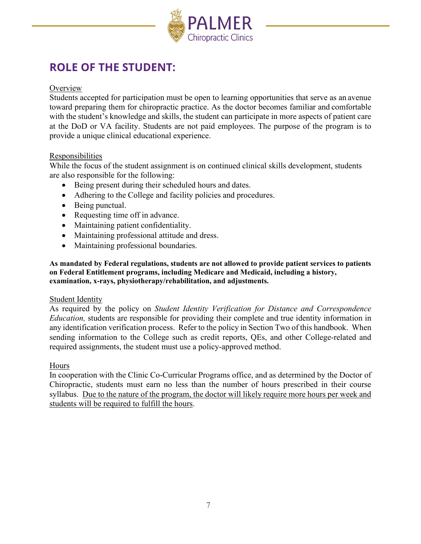

# <span id="page-7-0"></span>**ROLE OF THE STUDENT:**

### **Overview**

Students accepted for participation must be open to learning opportunities that serve as an avenue toward preparing them for chiropractic practice. As the doctor becomes familiar and comfortable with the student's knowledge and skills, the student can participate in more aspects of patient care at the DoD or VA facility. Students are not paid employees. The purpose of the program is to provide a unique clinical educational experience.

### Responsibilities

While the focus of the student assignment is on continued clinical skills development, students are also responsible for the following:

- Being present during their scheduled hours and dates.
- Adhering to the College and facility policies and procedures.
- Being punctual.
- Requesting time off in advance.
- Maintaining patient confidentiality.
- Maintaining professional attitude and dress.
- Maintaining professional boundaries.

**As mandated by Federal regulations, students are not allowed to provide patient services to patients on Federal Entitlement programs, including Medicare and Medicaid, including a history, examination, x-rays, physiotherapy/rehabilitation, and adjustments.**

#### Student Identity

As required by the policy on *Student Identity Verification for Distance and Correspondence Education,* students are responsible for providing their complete and true identity information in any identification verification process. Refer to the policy in Section Two of this handbook. When sending information to the College such as credit reports, QEs, and other College-related and required assignments, the student must use a policy-approved method.

#### Hours

In cooperation with the Clinic Co-Curricular Programs office, and as determined by the Doctor of Chiropractic, students must earn no less than the number of hours prescribed in their course syllabus. Due to the nature of the program, the doctor will likely require more hours per week and students will be required to fulfill the hours.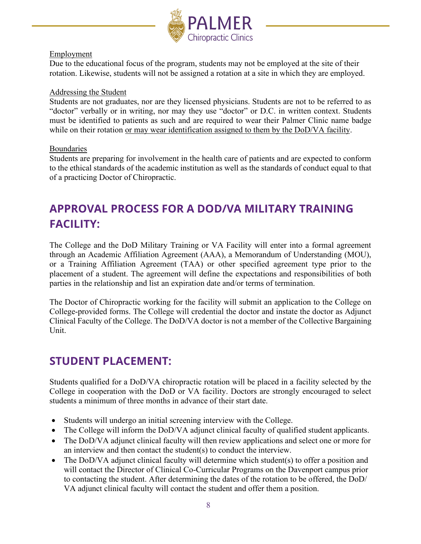

### Employment

Due to the educational focus of the program, students may not be employed at the site of their rotation. Likewise, students will not be assigned a rotation at a site in which they are employed.

#### Addressing the Student

Students are not graduates, nor are they licensed physicians. Students are not to be referred to as "doctor" verbally or in writing, nor may they use "doctor" or D.C. in written context. Students must be identified to patients as such and are required to wear their Palmer Clinic name badge while on their rotation or may wear identification assigned to them by the DoD/VA facility.

### Boundaries

Students are preparing for involvement in the health care of patients and are expected to conform to the ethical standards of the academic institution as well as the standards of conduct equal to that of a practicing Doctor of Chiropractic.

# **APPROVAL PROCESS FOR A DOD/VA MILITARY TRAINING FACILITY:**

The College and the DoD Military Training or VA Facility will enter into a formal agreement through an Academic Affiliation Agreement (AAA), a Memorandum of Understanding (MOU), or a Training Affiliation Agreement (TAA) or other specified agreement type prior to the placement of a student. The agreement will define the expectations and responsibilities of both parties in the relationship and list an expiration date and/or terms of termination.

The Doctor of Chiropractic working for the facility will submit an application to the College on College-provided forms. The College will credential the doctor and instate the doctor as Adjunct Clinical Faculty of the College. The DoD/VA doctor is not a member of the Collective Bargaining Unit.

# <span id="page-8-0"></span>**STUDENT PLACEMENT:**

Students qualified for a DoD/VA chiropractic rotation will be placed in a facility selected by the College in cooperation with the DoD or VA facility. Doctors are strongly encouraged to select students a minimum of three months in advance of their start date.

- Students will undergo an initial screening interview with the College.
- The College will inform the DoD/VA adjunct clinical faculty of qualified student applicants.
- The DoD/VA adjunct clinical faculty will then review applications and select one or more for an interview and then contact the student(s) to conduct the interview.
- The DoD/VA adjunct clinical faculty will determine which student(s) to offer a position and will contact the Director of Clinical Co-Curricular Programs on the Davenport campus prior to contacting the student. After determining the dates of the rotation to be offered, the DoD/ VA adjunct clinical faculty will contact the student and offer them a position.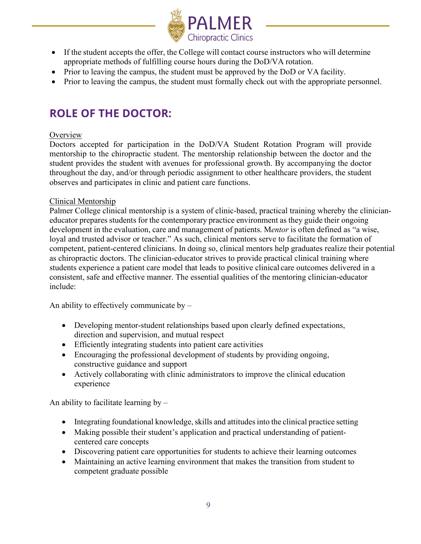

- If the student accepts the offer, the College will contact course instructors who will determine appropriate methods of fulfilling course hours during the DoD/VA rotation.
- Prior to leaving the campus, the student must be approved by the DoD or VA facility.
- Prior to leaving the campus, the student must formally check out with the appropriate personnel.

# <span id="page-9-0"></span>**ROLE OF THE DOCTOR:**

### **Overview**

Doctors accepted for participation in the DoD/VA Student Rotation Program will provide mentorship to the chiropractic student. The mentorship relationship between the doctor and the student provides the student with avenues for professional growth. By accompanying the doctor throughout the day, and/or through periodic assignment to other healthcare providers, the student observes and participates in clinic and patient care functions.

### Clinical Mentorship

Palmer College clinical mentorship is a system of clinic-based, practical training whereby the clinicianeducator prepares students for the contemporary practice environment as they guide their ongoing development in the evaluation, care and management of patients. M*entor* is often defined as "a wise, loyal and trusted advisor or teacher." As such, clinical mentors serve to facilitate the formation of competent, patient-centered clinicians. In doing so, clinical mentors help graduates realize their potential as chiropractic doctors. The clinician-educator strives to provide practical clinical training where students experience a patient care model that leads to positive clinical care outcomes delivered in a consistent, safe and effective manner. The essential qualities of the mentoring clinician-educator include:

An ability to effectively communicate by –

- Developing mentor-student relationships based upon clearly defined expectations, direction and supervision, and mutual respect
- Efficiently integrating students into patient care activities
- Encouraging the professional development of students by providing ongoing, constructive guidance and support
- Actively collaborating with clinic administrators to improve the clinical education experience

An ability to facilitate learning by  $-$ 

- Integrating foundational knowledge, skills and attitudes into the clinical practice setting
- Making possible their student's application and practical understanding of patientcentered care concepts
- Discovering patient care opportunities for students to achieve their learning outcomes
- Maintaining an active learning environment that makes the transition from student to competent graduate possible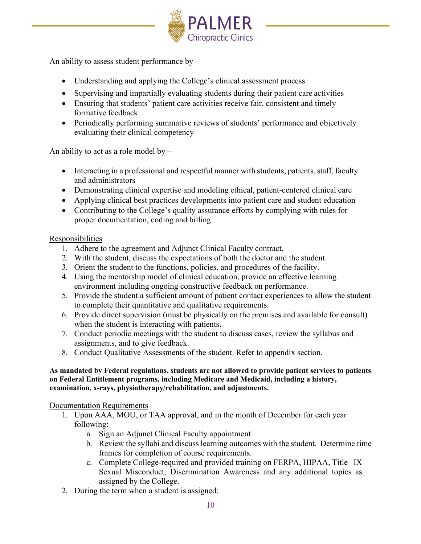

An ability to assess student performance by –

- Understanding and applying the College's clinical assessment process
- Supervising and impartially evaluating students during their patient care activities
- Ensuring that students' patient care activities receive fair, consistent and timely formative feedback
- Periodically performing summative reviews of students' performance and objectively evaluating their clinical competency

An ability to act as a role model by  $-$ 

- Interacting in a professional and respectful manner with students, patients, staff, faculty and administrators
- Demonstrating clinical expertise and modeling ethical, patient-centered clinical care
- Applying clinical best practices developments into patient care and student education
- Contributing to the College's quality assurance efforts by complying with rules for proper documentation, coding and billing

### Responsibilities

- 1. Adhere to the agreement and Adjunct Clinical Faculty contract.
- 2. With the student, discuss the expectations of both the doctor and the student.
- 3. Orient the student to the functions, policies, and procedures of the facility.
- 4. Using the mentorship model of clinical education, provide an effective learning environment including ongoing constructive feedback on performance.
- 5. Provide the student a sufficient amount of patient contact experiences to allow the student to complete their quantitative and qualitative requirements.
- 6. Provide direct supervision (must be physically on the premises and available for consult) when the student is interacting with patients.
- 7. Conduct periodic meetings with the student to discuss cases, review the syllabus and assignments, and to give feedback.
- 8. Conduct Qualitative Assessments of the student. Refer to appendix section.

#### **As mandated by Federal regulations, students are not allowed to provide patient services to patients on Federal Entitlement programs, including Medicare and Medicaid, including a history, examination, x-rays, physiotherapy/rehabilitation, and adjustments.**

### Documentation Requirements

- 1. Upon AAA, MOU, or TAA approval, and in the month of December for each year following:
	- a. Sign an Adjunct Clinical Faculty appointment
	- b. Review the syllabi and discuss learning outcomes with the student. Determine time frames for completion of course requirements.
	- c. Complete College-required and provided training on FERPA, HIPAA, Title IX Sexual Misconduct, Discrimination Awareness and any additional topics as assigned by the College.
- 2. During the term when a student is assigned: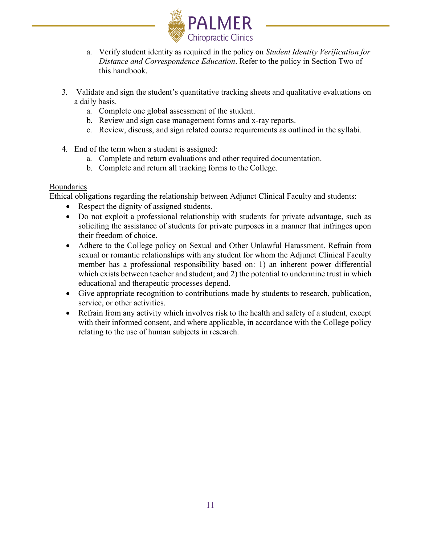

- a. Verify student identity as required in the policy on *Student Identity Verification for Distance and Correspondence Education*. Refer to the policy in Section Two of this handbook.
- 3. Validate and sign the student's quantitative tracking sheets and qualitative evaluations on a daily basis.
	- a. Complete one global assessment of the student.
	- b. Review and sign case management forms and x-ray reports.
	- c. Review, discuss, and sign related course requirements as outlined in the syllabi.
- 4. End of the term when a student is assigned:
	- a. Complete and return evaluations and other required documentation.
	- b. Complete and return all tracking forms to the College.

### Boundaries

Ethical obligations regarding the relationship between Adjunct Clinical Faculty and students:

- Respect the dignity of assigned students.
- Do not exploit a professional relationship with students for private advantage, such as soliciting the assistance of students for private purposes in a manner that infringes upon their freedom of choice.
- Adhere to the College policy on Sexual and Other Unlawful Harassment. Refrain from sexual or romantic relationships with any student for whom the Adjunct Clinical Faculty member has a professional responsibility based on: 1) an inherent power differential which exists between teacher and student; and 2) the potential to undermine trust in which educational and therapeutic processes depend.
- Give appropriate recognition to contributions made by students to research, publication, service, or other activities.
- Refrain from any activity which involves risk to the health and safety of a student, except with their informed consent, and where applicable, in accordance with the College policy relating to the use of human subjects in research.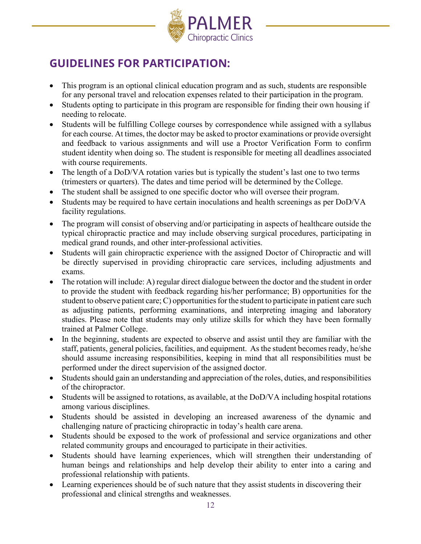

# <span id="page-12-0"></span>**GUIDELINES FOR PARTICIPATION:**

- This program is an optional clinical education program and as such, students are responsible for any personal travel and relocation expenses related to their participation in the program.
- Students opting to participate in this program are responsible for finding their own housing if needing to relocate.
- Students will be fulfilling College courses by correspondence while assigned with a syllabus for each course. At times, the doctor may be asked to proctor examinations or provide oversight and feedback to various assignments and will use a Proctor Verification Form to confirm student identity when doing so. The student is responsible for meeting all deadlines associated with course requirements.
- The length of a DoD/VA rotation varies but is typically the student's last one to two terms (trimesters or quarters). The dates and time period will be determined by the College.
- The student shall be assigned to one specific doctor who will oversee their program.
- Students may be required to have certain inoculations and health screenings as per DoD/VA facility regulations.
- The program will consist of observing and/or participating in aspects of healthcare outside the typical chiropractic practice and may include observing surgical procedures, participating in medical grand rounds, and other inter-professional activities.
- Students will gain chiropractic experience with the assigned Doctor of Chiropractic and will be directly supervised in providing chiropractic care services, including adjustments and exams.
- The rotation will include: A) regular direct dialogue between the doctor and the student in order to provide the student with feedback regarding his/her performance; B) opportunities for the student to observe patient care;  $C$ ) opportunities for the student to participate in patient care such as adjusting patients, performing examinations, and interpreting imaging and laboratory studies. Please note that students may only utilize skills for which they have been formally trained at Palmer College.
- In the beginning, students are expected to observe and assist until they are familiar with the staff, patients, general policies, facilities, and equipment. As the student becomes ready, he/she should assume increasing responsibilities, keeping in mind that all responsibilities must be performed under the direct supervision of the assigned doctor.
- Students should gain an understanding and appreciation of the roles, duties, and responsibilities of the chiropractor.
- Students will be assigned to rotations, as available, at the DoD/VA including hospital rotations among various disciplines.
- Students should be assisted in developing an increased awareness of the dynamic and challenging nature of practicing chiropractic in today's health care arena.
- Students should be exposed to the work of professional and service organizations and other related community groups and encouraged to participate in their activities.
- Students should have learning experiences, which will strengthen their understanding of human beings and relationships and help develop their ability to enter into a caring and professional relationship with patients.
- Learning experiences should be of such nature that they assist students in discovering their professional and clinical strengths and weaknesses.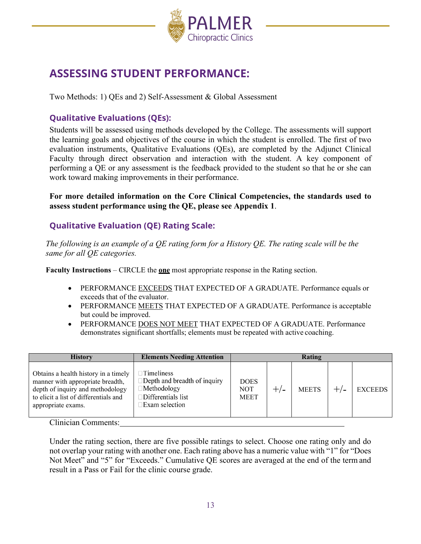

# **ASSESSING STUDENT PERFORMANCE:**

Two Methods: 1) QEs and 2) Self-Assessment & Global Assessment

### **Qualitative Evaluations (QEs):**

Students will be assessed using methods developed by the College. The assessments will support the learning goals and objectives of the course in which the student is enrolled. The first of two evaluation instruments, Qualitative Evaluations (QEs), are completed by the Adjunct Clinical Faculty through direct observation and interaction with the student. A key component of performing a QE or any assessment is the feedback provided to the student so that he or she can work toward making improvements in their performance.

**For more detailed information on the Core Clinical Competencies, the standards used to assess student performance using the QE, please see Appendix 1**.

### **Qualitative Evaluation (QE) Rating Scale:**

*The following is an example of a QE rating form for a History QE. The rating scale will be the same for all QE categories.*

**Faculty Instructions** – CIRCLE the **one** most appropriate response in the Rating section.

- PERFORMANCE EXCEEDS THAT EXPECTED OF A GRADUATE. Performance equals or exceeds that of the evaluator.
- PERFORMANCE MEETS THAT EXPECTED OF A GRADUATE. Performance is acceptable but could be improved.
- PERFORMANCE DOES NOT MEET THAT EXPECTED OF A GRADUATE. Performance demonstrates significant shortfalls; elements must be repeated with active coaching.

| <b>History</b>                                                                                                                                                              | <b>Elements Needing Attention</b>                                                                                  |                                          |       | Rating       |       |                |
|-----------------------------------------------------------------------------------------------------------------------------------------------------------------------------|--------------------------------------------------------------------------------------------------------------------|------------------------------------------|-------|--------------|-------|----------------|
| Obtains a health history in a timely<br>manner with appropriate breadth,<br>depth of inquiry and methodology<br>to elicit a list of differentials and<br>appropriate exams. | $\exists$ Timeliness<br>Depth and breadth of inquiry<br><b>Methodology</b><br>Differentials list<br>Exam selection | <b>DOES</b><br><b>NOT</b><br><b>MEET</b> | $+/-$ | <b>MEETS</b> | $+/-$ | <b>EXCEEDS</b> |
| $\sim$ 1 $\cdot$ $\cdot$ $\cdot$<br>$\sim$                                                                                                                                  |                                                                                                                    |                                          |       |              |       |                |

Clinician Comments:

Under the rating section, there are five possible ratings to select. Choose one rating only and do not overlap your rating with another one. Each rating above has a numeric value with "1" for "Does Not Meet" and "5" for "Exceeds." Cumulative QE scores are averaged at the end of the term and result in a Pass or Fail for the clinic course grade.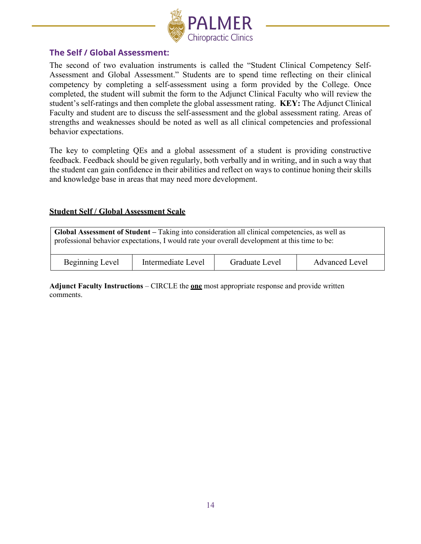

### **The Self / Global Assessment:**

The second of two evaluation instruments is called the "Student Clinical Competency Self-Assessment and Global Assessment." Students are to spend time reflecting on their clinical competency by completing a self-assessment using a form provided by the College. Once completed, the student will submit the form to the Adjunct Clinical Faculty who will review the student's self-ratings and then complete the global assessment rating. **KEY:** The Adjunct Clinical Faculty and student are to discuss the self-assessment and the global assessment rating. Areas of strengths and weaknesses should be noted as well as all clinical competencies and professional behavior expectations.

The key to completing QEs and a global assessment of a student is providing constructive feedback. Feedback should be given regularly, both verbally and in writing, and in such a way that the student can gain confidence in their abilities and reflect on ways to continue honing their skills and knowledge base in areas that may need more development.

#### <span id="page-14-0"></span>**Student Self / Global Assessment Scale**

| Global Assessment of Student – Taking into consideration all clinical competencies, as well as<br>professional behavior expectations, I would rate your overall development at this time to be: |                    |                |                       |  |  |
|-------------------------------------------------------------------------------------------------------------------------------------------------------------------------------------------------|--------------------|----------------|-----------------------|--|--|
| Beginning Level                                                                                                                                                                                 | Intermediate Level | Graduate Level | <b>Advanced Level</b> |  |  |

**Adjunct Faculty Instructions** – CIRCLE the **one** most appropriate response and provide written comments.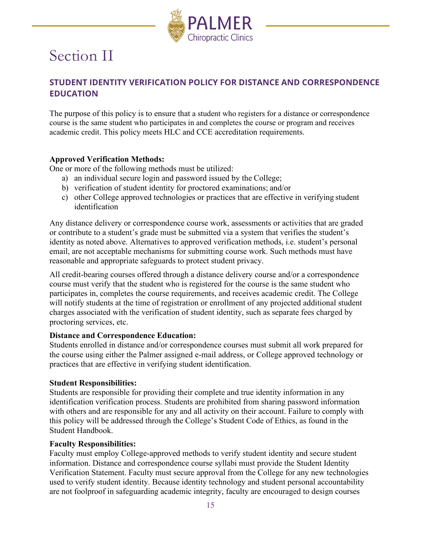

# <span id="page-15-0"></span>Section II

### **STUDENT IDENTITY VERIFICATION POLICY FOR DISTANCE AND CORRESPONDENCE EDUCATION**

The purpose of this policy is to ensure that a student who registers for a distance or correspondence course is the same student who participates in and completes the course or program and receives academic credit. This policy meets HLC and CCE accreditation requirements.

### **Approved Verification Methods:**

One or more of the following methods must be utilized:

- a) an individual secure login and password issued by the College;
- b) verification of student identity for proctored examinations; and/or
- c) other College approved technologies or practices that are effective in verifying student identification

Any distance delivery or correspondence course work, assessments or activities that are graded or contribute to a student's grade must be submitted via a system that verifies the student's identity as noted above. Alternatives to approved verification methods, i.e. student's personal email, are not acceptable mechanisms for submitting course work. Such methods must have reasonable and appropriate safeguards to protect student privacy.

All credit-bearing courses offered through a distance delivery course and/or a correspondence course must verify that the student who is registered for the course is the same student who participates in, completes the course requirements, and receives academic credit. The College will notify students at the time of registration or enrollment of any projected additional student charges associated with the verification of student identity, such as separate fees charged by proctoring services, etc.

### **Distance and Correspondence Education:**

Students enrolled in distance and/or correspondence courses must submit all work prepared for the course using either the Palmer assigned e-mail address, or College approved technology or practices that are effective in verifying student identification.

### **Student Responsibilities:**

Students are responsible for providing their complete and true identity information in any identification verification process. Students are prohibited from sharing password information with others and are responsible for any and all activity on their account. Failure to comply with this policy will be addressed through the College's Student Code of Ethics, as found in the Student Handbook.

### **Faculty Responsibilities:**

Faculty must employ College-approved methods to verify student identity and secure student information. Distance and correspondence course syllabi must provide the Student Identity Verification Statement. Faculty must secure approval from the College for any new technologies used to verify student identity. Because identity technology and student personal accountability are not foolproof in safeguarding academic integrity, faculty are encouraged to design courses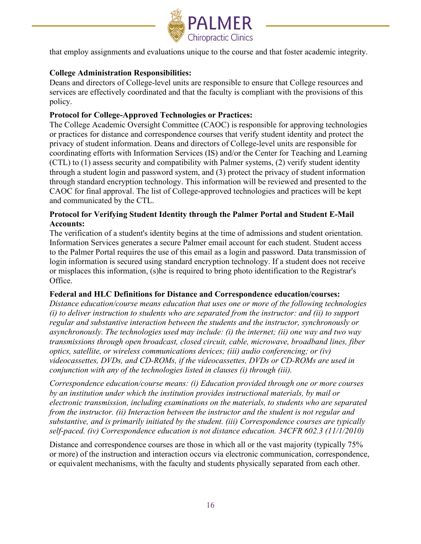

that employ assignments and evaluations unique to the course and that foster academic integrity.

### **College Administration Responsibilities:**

Deans and directors of College-level units are responsible to ensure that College resources and services are effectively coordinated and that the faculty is compliant with the provisions of this policy.

### **Protocol for College-Approved Technologies or Practices:**

The College Academic Oversight Committee (CAOC) is responsible for approving technologies or practices for distance and correspondence courses that verify student identity and protect the privacy of student information. Deans and directors of College-level units are responsible for coordinating efforts with Information Services (IS) and/or the Center for Teaching and Learning (CTL) to (1) assess security and compatibility with Palmer systems, (2) verify student identity through a student login and password system, and (3) protect the privacy of student information through standard encryption technology. This information will be reviewed and presented to the CAOC for final approval. The list of College-approved technologies and practices will be kept and communicated by the CTL.

### **Protocol for Verifying Student Identity through the Palmer Portal and Student E-Mail Accounts:**

The verification of a student's identity begins at the time of admissions and student orientation. Information Services generates a secure Palmer email account for each student. Student access to the Palmer Portal requires the use of this email as a login and password. Data transmission of login information is secured using standard encryption technology. If a student does not receive or misplaces this information, (s)he is required to bring photo identification to the Registrar's Office.

### **Federal and HLC Definitions for Distance and Correspondence education/courses:**

*Distance education/course means education that uses one or more of the following technologies (i) to deliver instruction to students who are separated from the instructor: and (ii) to support regular and substantive interaction between the students and the instructor, synchronously or asynchronously. The technologies used may include: (i) the internet; (ii) one way and two way transmissions through open broadcast, closed circuit, cable, microwave, broadband lines, fiber optics, satellite, or wireless communications devices; (iii) audio conferencing; or (iv) videocassettes, DVDs, and CD-ROMs, if the videocassettes, DVDs or CD-ROMs are used in conjunction with any of the technologies listed in clauses (i) through (iii).*

*Correspondence education/course means: (i) Education provided through one or more courses by an institution under which the institution provides instructional materials, by mail or electronic transmission, including examinations on the materials, to students who are separated from the instructor. (ii) Interaction between the instructor and the student is not regular and substantive, and is primarily initiated by the student. (iii) Correspondence courses are typically self-paced. (iv) Correspondence education is not distance education. 34CFR 602.3 (11/1/2010)*

Distance and correspondence courses are those in which all or the vast majority (typically 75% or more) of the instruction and interaction occurs via electronic communication, correspondence, or equivalent mechanisms, with the faculty and students physically separated from each other.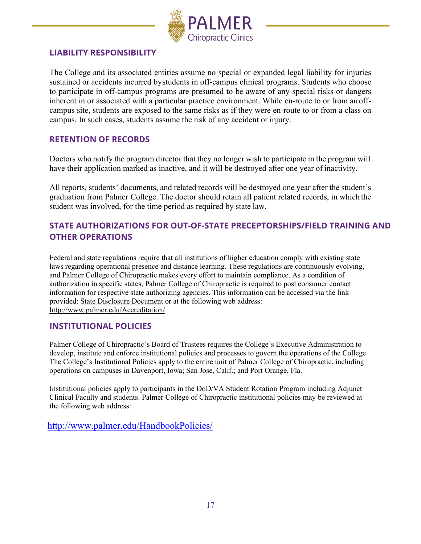

### <span id="page-17-0"></span>**LIABILITY RESPONSIBILITY**

The College and its associated entities assume no special or expanded legal liability for injuries sustained or accidents incurred bystudents in off-campus clinical programs. Students who choose to participate in off-campus programs are presumed to be aware of any special risks or dangers inherent in or associated with a particular practice environment. While en-route to or from an offcampus site, students are exposed to the same risks as if they were en-route to or from a class on campus. In such cases, students assume the risk of any accident or injury.

### <span id="page-17-1"></span>**RETENTION OF RECORDS**

Doctors who notify the program director that they no longer wish to participate in the program will have their application marked as inactive, and it will be destroyed after one year of inactivity.

All reports, students' documents, and related records will be destroyed one year after the student's graduation from Palmer College. The doctor should retain all patient related records, in which the student was involved, for the time period as required by state law.

### **STATE AUTHORIZATIONS FOR OUT-OF-STATE PRECEPTORSHIPS/FIELD TRAINING AND OTHER OPERATIONS**

Federal and state regulations require that all institutions of higher education comply with existing state laws regarding operational presence and distance learning. These regulations are continuously evolving, and Palmer College of Chiropractic makes every effort to maintain compliance. As a condition of authorization in specific states, Palmer College of Chiropractic is required to post consumer contact information for respective state authorizing agencies. This information can be accessed via the link provided: [State Disclosure Document](http://www.palmer.edu/uploadedFiles/Pages/Who_We_Are/_files/State_Disclosures.pdf) or at the following web address: <http://www.palmer.edu/Accreditation/>

### **INSTITUTIONAL POLICIES**

Palmer College of Chiropractic's Board of Trustees requires the College's Executive Administration to develop, institute and enforce institutional policies and processes to govern the operations of the College. The College's Institutional Policies apply to the entire unit of Palmer College of Chiropractic, including operations on campuses in Davenport, Iowa; San Jose, Calif.; and Port Orange, Fla.

Institutional policies apply to participants in the DoD/VA Student Rotation Program including Adjunct Clinical Faculty and students. Palmer College of Chiropractic institutional policies may be reviewed at the following web address:

<http://www.palmer.edu/HandbookPolicies/>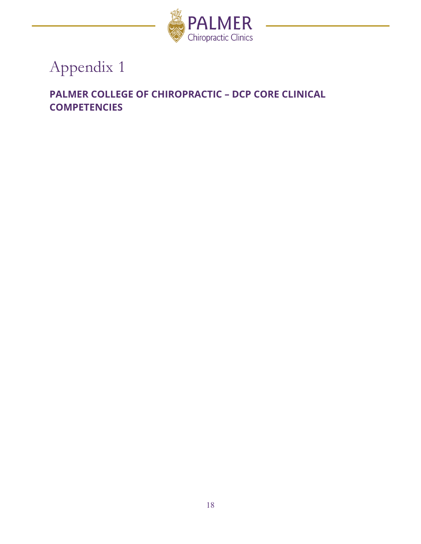

# Appendix 1

# **PALMER COLLEGE OF CHIROPRACTIC – DCP CORE CLINICAL COMPETENCIES**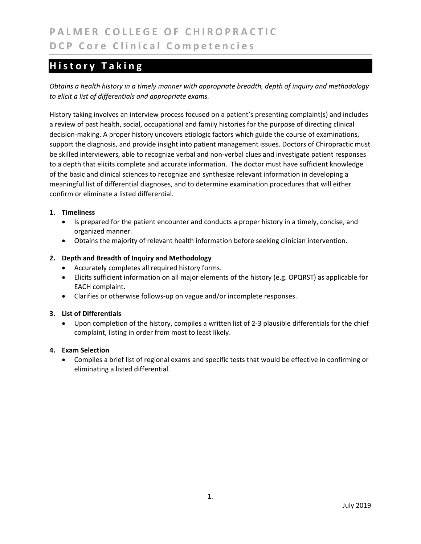# **History Taking**

*Obtains a health history in a timely manner with appropriate breadth, depth of inquiry and methodology to elicit a list of differentials and appropriate exams.* 

History taking involves an interview process focused on a patient's presenting complaint(s) and includes a review of past health, social, occupational and family histories for the purpose of directing clinical decision‐making. A proper history uncovers etiologic factors which guide the course of examinations, support the diagnosis, and provide insight into patient management issues. Doctors of Chiropractic must be skilled interviewers, able to recognize verbal and non-verbal clues and investigate patient responses to a depth that elicits complete and accurate information. The doctor must have sufficient knowledge of the basic and clinical sciences to recognize and synthesize relevant information in developing a meaningful list of differential diagnoses, and to determine examination procedures that will either confirm or eliminate a listed differential.

#### **1. Timeliness**

- Is prepared for the patient encounter and conducts a proper history in a timely, concise, and organized manner.
- Obtains the majority of relevant health information before seeking clinician intervention.

#### **2. Depth and Breadth of Inquiry and Methodology**

- Accurately completes all required history forms.
- Elicits sufficient information on all major elements of the history (e.g. OPQRST) as applicable for EACH complaint.
- Clarifies or otherwise follows-up on vague and/or incomplete responses.

#### **3. List of Differentials**

 Upon completion of the history, compiles a written list of 2‐3 plausible differentials for the chief complaint, listing in order from most to least likely.

#### **4. Exam Selection**

 Compiles a brief list of regional exams and specific tests that would be effective in confirming or eliminating a listed differential.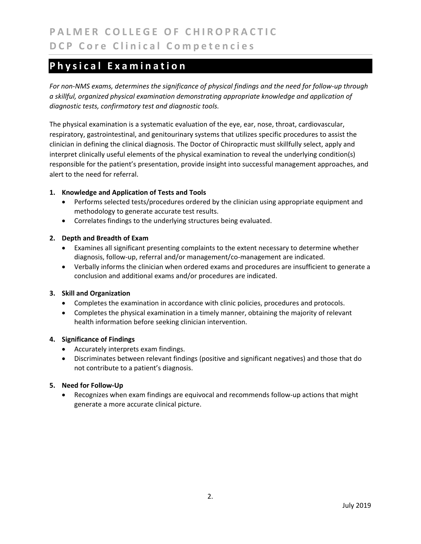### **Physical Examination**

*For non‐NMS exams, determines the significance of physical findings and the need for follow‐up through a skillful, organized physical examination demonstrating appropriate knowledge and application of diagnostic tests, confirmatory test and diagnostic tools.* 

The physical examination is a systematic evaluation of the eye, ear, nose, throat, cardiovascular, respiratory, gastrointestinal, and genitourinary systems that utilizes specific procedures to assist the clinician in defining the clinical diagnosis. The Doctor of Chiropractic must skillfully select, apply and interpret clinically useful elements of the physical examination to reveal the underlying condition(s) responsible for the patient's presentation, provide insight into successful management approaches, and alert to the need for referral.

#### **1. Knowledge and Application of Tests and Tools**

- Performs selected tests/procedures ordered by the clinician using appropriate equipment and methodology to generate accurate test results.
- Correlates findings to the underlying structures being evaluated.

#### **2. Depth and Breadth of Exam**

- Examines all significant presenting complaints to the extent necessary to determine whether diagnosis, follow‐up, referral and/or management/co‐management are indicated.
- Verbally informs the clinician when ordered exams and procedures are insufficient to generate a conclusion and additional exams and/or procedures are indicated.

#### **3. Skill and Organization**

- Completes the examination in accordance with clinic policies, procedures and protocols.
- Completes the physical examination in a timely manner, obtaining the majority of relevant health information before seeking clinician intervention.

#### **4. Significance of Findings**

- Accurately interprets exam findings.
- Discriminates between relevant findings (positive and significant negatives) and those that do not contribute to a patient's diagnosis.

#### **5. Need for Follow‐Up**

■ Recognizes when exam findings are equivocal and recommends follow-up actions that might generate a more accurate clinical picture.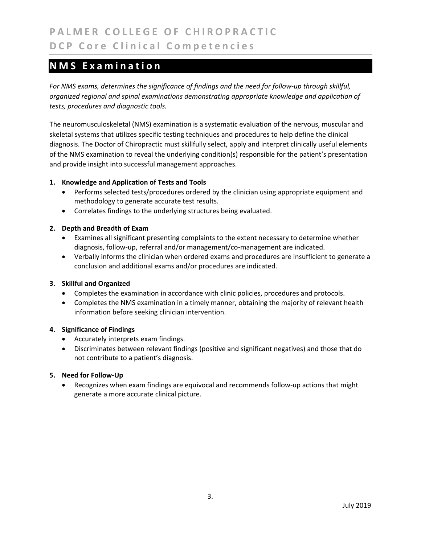### **NMS Examination**

*For NMS exams, determines the significance of findings and the need for follow‐up through skillful, organized regional and spinal examinations demonstrating appropriate knowledge and application of tests, procedures and diagnostic tools.* 

The neuromusculoskeletal (NMS) examination is a systematic evaluation of the nervous, muscular and skeletal systems that utilizes specific testing techniques and procedures to help define the clinical diagnosis. The Doctor of Chiropractic must skillfully select, apply and interpret clinically useful elements of the NMS examination to reveal the underlying condition(s) responsible for the patient's presentation and provide insight into successful management approaches.

#### **1. Knowledge and Application of Tests and Tools**

- Performs selected tests/procedures ordered by the clinician using appropriate equipment and methodology to generate accurate test results.
- Correlates findings to the underlying structures being evaluated.

#### **2. Depth and Breadth of Exam**

- Examines all significant presenting complaints to the extent necessary to determine whether diagnosis, follow‐up, referral and/or management/co‐management are indicated.
- Verbally informs the clinician when ordered exams and procedures are insufficient to generate a conclusion and additional exams and/or procedures are indicated.

#### **3. Skillful and Organized**

- Completes the examination in accordance with clinic policies, procedures and protocols.
- Completes the NMS examination in a timely manner, obtaining the majority of relevant health information before seeking clinician intervention.

#### **4. Significance of Findings**

- Accurately interprets exam findings.
- Discriminates between relevant findings (positive and significant negatives) and those that do not contribute to a patient's diagnosis.

#### **5. Need for Follow‐Up**

 Recognizes when exam findings are equivocal and recommends follow‐up actions that might generate a more accurate clinical picture.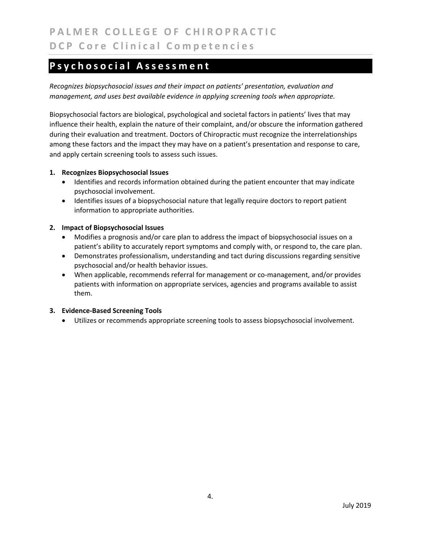### **Psychosocial Assessment**

*Recognizes biopsychosocial issues and their impact on patients' presentation, evaluation and management, and uses best available evidence in applying screening tools when appropriate.* 

Biopsychosocial factors are biological, psychological and societal factors in patients' lives that may influence their health, explain the nature of their complaint, and/or obscure the information gathered during their evaluation and treatment. Doctors of Chiropractic must recognize the interrelationships among these factors and the impact they may have on a patient's presentation and response to care, and apply certain screening tools to assess such issues.

#### **1. Recognizes Biopsychosocial Issues**

- Identifies and records information obtained during the patient encounter that may indicate psychosocial involvement.
- Identifies issues of a biopsychosocial nature that legally require doctors to report patient information to appropriate authorities.

#### **2. Impact of Biopsychosocial Issues**

- Modifies a prognosis and/or care plan to address the impact of biopsychosocial issues on a patient's ability to accurately report symptoms and comply with, or respond to, the care plan.
- Demonstrates professionalism, understanding and tact during discussions regarding sensitive psychosocial and/or health behavior issues.
- When applicable, recommends referral for management or co-management, and/or provides patients with information on appropriate services, agencies and programs available to assist them.

#### **3. Evidence‐Based Screening Tools**

Utilizes or recommends appropriate screening tools to assess biopsychosocial involvement.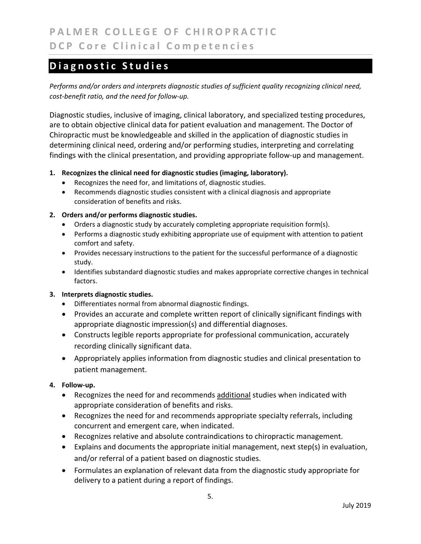# **Diagnostic Studies**

*Performs and/or orders and interprets diagnostic studies of sufficient quality recognizing clinical need, cost‐benefit ratio, and the need for follow‐up.*

Diagnostic studies, inclusive of imaging, clinical laboratory, and specialized testing procedures, are to obtain objective clinical data for patient evaluation and management. The Doctor of Chiropractic must be knowledgeable and skilled in the application of diagnostic studies in determining clinical need, ordering and/or performing studies, interpreting and correlating findings with the clinical presentation, and providing appropriate follow‐up and management.

#### **1. Recognizes the clinical need for diagnostic studies (imaging, laboratory).**

- Recognizes the need for, and limitations of, diagnostic studies.
- Recommends diagnostic studies consistent with a clinical diagnosis and appropriate consideration of benefits and risks.

#### **2. Orders and/or performs diagnostic studies.**

- Orders a diagnostic study by accurately completing appropriate requisition form(s).
- Performs a diagnostic study exhibiting appropriate use of equipment with attention to patient comfort and safety.
- Provides necessary instructions to the patient for the successful performance of a diagnostic study.
- Identifies substandard diagnostic studies and makes appropriate corrective changes in technical factors.

#### **3. Interprets diagnostic studies.**

- Differentiates normal from abnormal diagnostic findings.
- Provides an accurate and complete written report of clinically significant findings with appropriate diagnostic impression(s) and differential diagnoses.
- Constructs legible reports appropriate for professional communication, accurately recording clinically significant data.
- Appropriately applies information from diagnostic studies and clinical presentation to patient management.

#### **4. Follow‐up.**

- Recognizes the need for and recommends additional studies when indicated with appropriate consideration of benefits and risks.
- Recognizes the need for and recommends appropriate specialty referrals, including concurrent and emergent care, when indicated.
- Recognizes relative and absolute contraindications to chiropractic management.
- Explains and documents the appropriate initial management, next step(s) in evaluation, and/or referral of a patient based on diagnostic studies.
- Formulates an explanation of relevant data from the diagnostic study appropriate for delivery to a patient during a report of findings.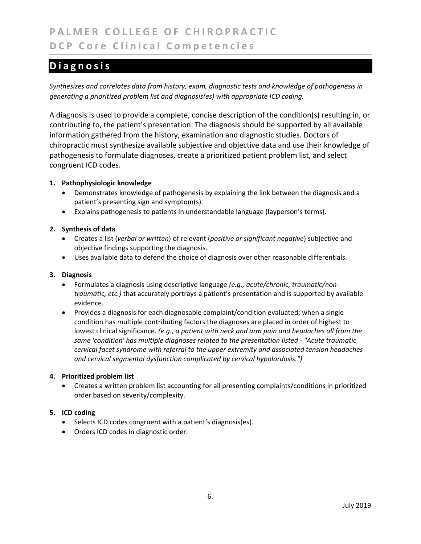# **PALMER COLLEGE OF CHIROPRACTIC DCP Core Clinical Competencies**

## **Diagnosis**

*Synthesizes and correlates data from history, exam, diagnostic tests and knowledge of pathogenesis in generating a prioritized problem list and diagnosis(es) with appropriate ICD coding.* 

A diagnosis is used to provide a complete, concise description of the condition(s) resulting in, or contributing to, the patient's presentation. The diagnosis should be supported by all available information gathered from the history, examination and diagnostic studies. Doctors of chiropractic must synthesize available subjective and objective data and use their knowledge of pathogenesis to formulate diagnoses, create a prioritized patient problem list, and select congruent ICD codes.

#### **1. Pathophysiologic knowledge**

- Demonstrates knowledge of pathogenesis by explaining the link between the diagnosis and a patient's presenting sign and symptom(s).
- Explains pathogenesis to patients in understandable language (layperson's terms).

#### **2. Synthesis of data**

- Creates a list (*verbal or written*) of relevant (*positive or significant negative*) subjective and objective findings supporting the diagnosis.
- Uses available data to defend the choice of diagnosis over other reasonable differentials.

#### **3. Diagnosis**

- Formulates a diagnosis using descriptive language *(e.g., acute/chronic, traumatic/non‐ traumatic, etc.)* that accurately portrays a patient's presentation and is supported by available evidence.
- Provides a diagnosis for each diagnosable complaint/condition evaluated; when a single condition has multiple contributing factors the diagnoses are placed in order of highest to lowest clinical significance. *(e.g., a patient with neck and arm pain and headaches all from the same 'condition' has multiple diagnoses related to the presentation listed ‐ "Acute traumatic cervical facet syndrome with referral to the upper extremity and associated tension headaches and cervical segmental dysfunction complicated by cervical hypolordosis.")*

#### **4. Prioritized problem list**

 Creates a written problem list accounting for all presenting complaints/conditions in prioritized order based on severity/complexity.

#### **5. ICD coding**

- Selects ICD codes congruent with a patient's diagnosis(es).
- Orders ICD codes in diagnostic order.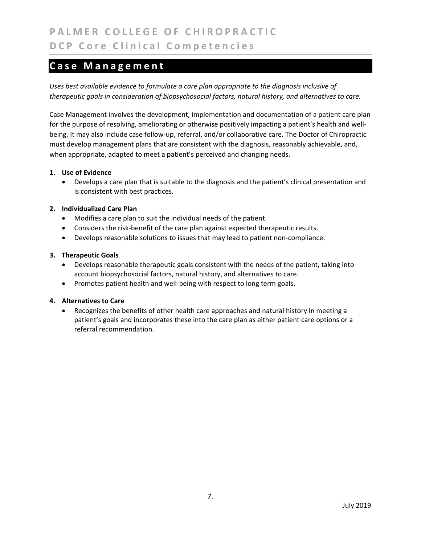### **Case Management**

*Uses best available evidence to formulate a care plan appropriate to the diagnosis inclusive of therapeutic goals in consideration of biopsychosocial factors, natural history, and alternatives to care.* 

Case Management involves the development, implementation and documentation of a patient care plan for the purpose of resolving, ameliorating or otherwise positively impacting a patient's health and wellbeing. It may also include case follow‐up, referral, and/or collaborative care. The Doctor of Chiropractic must develop management plans that are consistent with the diagnosis, reasonably achievable, and, when appropriate, adapted to meet a patient's perceived and changing needs.

#### **1. Use of Evidence**

 Develops a care plan that is suitable to the diagnosis and the patient's clinical presentation and is consistent with best practices.

#### **2. Individualized Care Plan**

- Modifies a care plan to suit the individual needs of the patient.
- Considers the risk-benefit of the care plan against expected therapeutic results.
- Develops reasonable solutions to issues that may lead to patient non‐compliance.

#### **3. Therapeutic Goals**

- Develops reasonable therapeutic goals consistent with the needs of the patient, taking into account biopsychosocial factors, natural history, and alternatives to care.
- Promotes patient health and well-being with respect to long term goals.

#### **4. Alternatives to Care**

 Recognizes the benefits of other health care approaches and natural history in meeting a patient's goals and incorporates these into the care plan as either patient care options or a referral recommendation.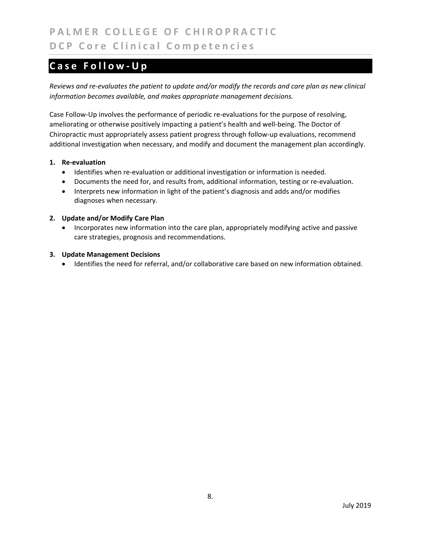# **PALMER COLLEGE OF CHIROPRACTIC DCP Core Clinical Competencies**

# **Case Follow‐Up**

*Reviews and re‐evaluates the patient to update and/or modify the records and care plan as new clinical information becomes available, and makes appropriate management decisions.* 

Case Follow‐Up involves the performance of periodic re‐evaluations for the purpose of resolving, ameliorating or otherwise positively impacting a patient's health and well‐being. The Doctor of Chiropractic must appropriately assess patient progress through follow‐up evaluations, recommend additional investigation when necessary, and modify and document the management plan accordingly.

#### **1. Re‐evaluation**

- Identifies when re-evaluation or additional investigation or information is needed.
- Documents the need for, and results from, additional information, testing or re-evaluation.
- Interprets new information in light of the patient's diagnosis and adds and/or modifies diagnoses when necessary.

#### **2. Update and/or Modify Care Plan**

• Incorporates new information into the care plan, appropriately modifying active and passive care strategies, prognosis and recommendations.

#### **3. Update Management Decisions**

Identifies the need for referral, and/or collaborative care based on new information obtained.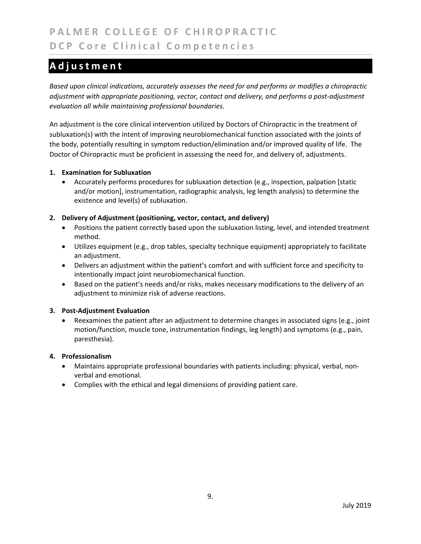# **Adjustment**

*Based upon clinical indications, accurately assesses the need for and performs or modifies a chiropractic adjustment with appropriate positioning, vector, contact and delivery, and performs a post‐adjustment evaluation all while maintaining professional boundaries.* 

An adjustment is the core clinical intervention utilized by Doctors of Chiropractic in the treatment of subluxation(s) with the intent of improving neurobiomechanical function associated with the joints of the body, potentially resulting in symptom reduction/elimination and/or improved quality of life. The Doctor of Chiropractic must be proficient in assessing the need for, and delivery of, adjustments.

#### **1. Examination for Subluxation**

 Accurately performs procedures for subluxation detection (e.g., inspection, palpation [static and/or motion], instrumentation, radiographic analysis, leg length analysis) to determine the existence and level(s) of subluxation.

#### **2. Delivery of Adjustment (positioning, vector, contact, and delivery)**

- Positions the patient correctly based upon the subluxation listing, level, and intended treatment method.
- Utilizes equipment (e.g., drop tables, specialty technique equipment) appropriately to facilitate an adjustment.
- Delivers an adjustment within the patient's comfort and with sufficient force and specificity to intentionally impact joint neurobiomechanical function.
- Based on the patient's needs and/or risks, makes necessary modifications to the delivery of an adjustment to minimize risk of adverse reactions.

#### **3. Post‐Adjustment Evaluation**

 Reexamines the patient after an adjustment to determine changes in associated signs (e.g., joint motion/function, muscle tone, instrumentation findings, leg length) and symptoms (e.g., pain, paresthesia).

#### **4. Professionalism**

- Maintains appropriate professional boundaries with patients including: physical, verbal, non‐ verbal and emotional.
- Complies with the ethical and legal dimensions of providing patient care.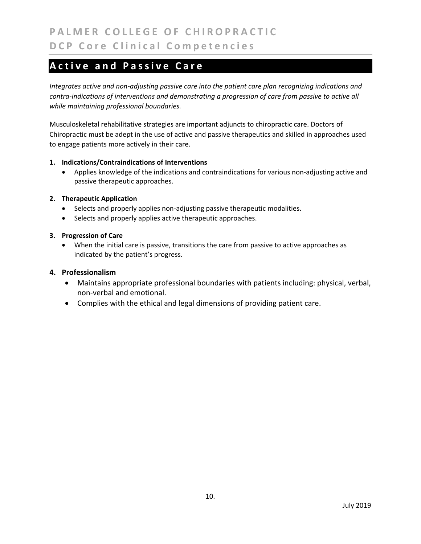### **Active and Passive Care**

*Integrates active and non‐adjusting passive care into the patient care plan recognizing indications and contra‐indications of interventions and demonstrating a progression of care from passive to active all while maintaining professional boundaries.* 

Musculoskeletal rehabilitative strategies are important adjuncts to chiropractic care. Doctors of Chiropractic must be adept in the use of active and passive therapeutics and skilled in approaches used to engage patients more actively in their care.

#### **1. Indications/Contraindications of Interventions**

● Applies knowledge of the indications and contraindications for various non-adjusting active and passive therapeutic approaches.

#### **2. Therapeutic Application**

- Selects and properly applies non-adjusting passive therapeutic modalities.
- Selects and properly applies active therapeutic approaches.

#### **3. Progression of Care**

 When the initial care is passive, transitions the care from passive to active approaches as indicated by the patient's progress.

#### **4. Professionalism**

- Maintains appropriate professional boundaries with patients including: physical, verbal, non‐verbal and emotional.
- Complies with the ethical and legal dimensions of providing patient care.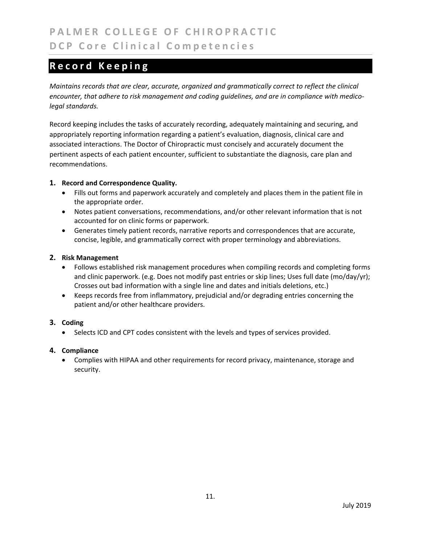# **Record Keeping**

*Maintains records that are clear, accurate, organized and grammatically correct to reflect the clinical encounter, that adhere to risk management and coding guidelines, and are in compliance with medico‐ legal standards.* 

Record keeping includes the tasks of accurately recording, adequately maintaining and securing, and appropriately reporting information regarding a patient's evaluation, diagnosis, clinical care and associated interactions. The Doctor of Chiropractic must concisely and accurately document the pertinent aspects of each patient encounter, sufficient to substantiate the diagnosis, care plan and recommendations.

#### **1. Record and Correspondence Quality.**

- Fills out forms and paperwork accurately and completely and places them in the patient file in the appropriate order.
- Notes patient conversations, recommendations, and/or other relevant information that is not accounted for on clinic forms or paperwork.
- Generates timely patient records, narrative reports and correspondences that are accurate, concise, legible, and grammatically correct with proper terminology and abbreviations.

#### **2. Risk Management**

- Follows established risk management procedures when compiling records and completing forms and clinic paperwork. (e.g. Does not modify past entries or skip lines; Uses full date (mo/day/yr); Crosses out bad information with a single line and dates and initials deletions, etc.)
- Keeps records free from inflammatory, prejudicial and/or degrading entries concerning the patient and/or other healthcare providers.

#### **3. Coding**

Selects ICD and CPT codes consistent with the levels and types of services provided.

#### **4. Compliance**

 Complies with HIPAA and other requirements for record privacy, maintenance, storage and security.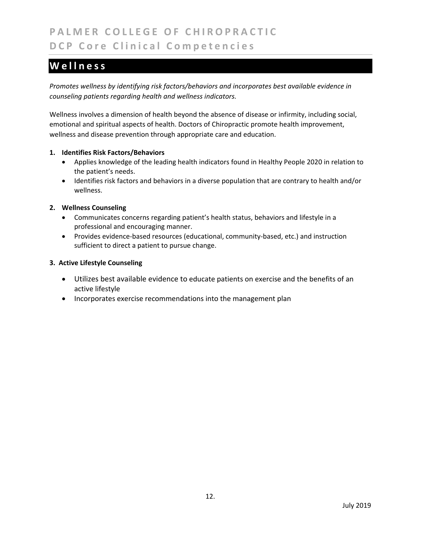# **PALMER COLLEGE OF CHIROPRACTIC DCP Core Clinical Competencies**

# **Wellness**

*Promotes wellness by identifying risk factors/behaviors and incorporates best available evidence in counseling patients regarding health and wellness indicators.* 

Wellness involves a dimension of health beyond the absence of disease or infirmity, including social, emotional and spiritual aspects of health. Doctors of Chiropractic promote health improvement, wellness and disease prevention through appropriate care and education.

#### **1. Identifies Risk Factors/Behaviors**

- Applies knowledge of the leading health indicators found in Healthy People 2020 in relation to the patient's needs.
- Identifies risk factors and behaviors in a diverse population that are contrary to health and/or wellness.

#### **2. Wellness Counseling**

- Communicates concerns regarding patient's health status, behaviors and lifestyle in a professional and encouraging manner.
- Provides evidence-based resources (educational, community-based, etc.) and instruction sufficient to direct a patient to pursue change.

#### **3. Active Lifestyle Counseling**

- Utilizes best available evidence to educate patients on exercise and the benefits of an active lifestyle
- Incorporates exercise recommendations into the management plan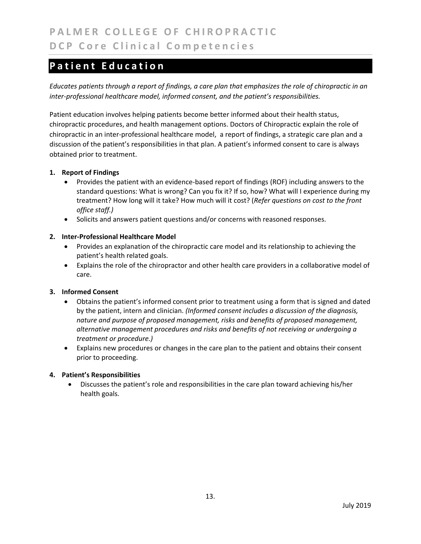# **Patient Education**

*Educates patients through a report of findings, a care plan that emphasizes the role of chiropractic in an inter‐professional healthcare model, informed consent, and the patient's responsibilities.* 

Patient education involves helping patients become better informed about their health status, chiropractic procedures, and health management options. Doctors of Chiropractic explain the role of chiropractic in an inter‐professional healthcare model, a report of findings, a strategic care plan and a discussion of the patient's responsibilities in that plan. A patient's informed consent to care is always obtained prior to treatment.

#### **1. Report of Findings**

- Provides the patient with an evidence-based report of findings (ROF) including answers to the standard questions: What is wrong? Can you fix it? If so, how? What will I experience during my treatment? How long will it take? How much will it cost? (*Refer questions on cost to the front office staff.)*
- Solicits and answers patient questions and/or concerns with reasoned responses.

#### **2. Inter‐Professional Healthcare Model**

- Provides an explanation of the chiropractic care model and its relationship to achieving the patient's health related goals.
- Explains the role of the chiropractor and other health care providers in a collaborative model of care.

#### **3. Informed Consent**

- Obtains the patient's informed consent prior to treatment using a form that is signed and dated by the patient, intern and clinician. *(Informed consent includes a discussion of the diagnosis, nature and purpose of proposed management, risks and benefits of proposed management, alternative management procedures and risks and benefits of not receiving or undergoing a treatment or procedure.)*
- Explains new procedures or changes in the care plan to the patient and obtains their consent prior to proceeding.

#### **4. Patient's Responsibilities**

 Discusses the patient's role and responsibilities in the care plan toward achieving his/her health goals.